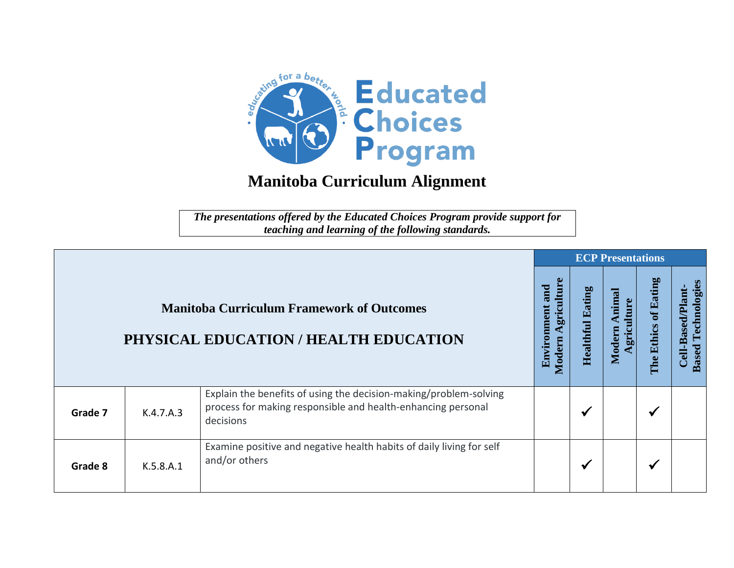

## **Manitoba Curriculum Alignment**

*The presentations offered by the Educated Choices Program provide support for teaching and learning of the following standards.*

|         |           |                                                                                                                                                |                                            |                         | <b>ECP Presentations</b>                 |                         |                                                   |  |  |  |  |
|---------|-----------|------------------------------------------------------------------------------------------------------------------------------------------------|--------------------------------------------|-------------------------|------------------------------------------|-------------------------|---------------------------------------------------|--|--|--|--|
|         |           | <b>Manitoba Curriculum Framework of Outcomes</b><br>PHYSICAL EDUCATION / HEALTH EDUCATION                                                      | griculture<br>and<br>Environment<br>Modern | <b>Healthful Eating</b> | himal<br>ulture<br>Modern<br><u>grig</u> | of Eating<br>The Ethics | Technologies<br>Cell-Based/Plant-<br><b>Based</b> |  |  |  |  |
| Grade 7 | K.4.7.A.3 | Explain the benefits of using the decision-making/problem-solving<br>process for making responsible and health-enhancing personal<br>decisions |                                            | ✔                       |                                          | $\checkmark$            |                                                   |  |  |  |  |
| Grade 8 | K.5.8.A.1 | Examine positive and negative health habits of daily living for self<br>and/or others                                                          |                                            | ✔                       |                                          | $\checkmark$            |                                                   |  |  |  |  |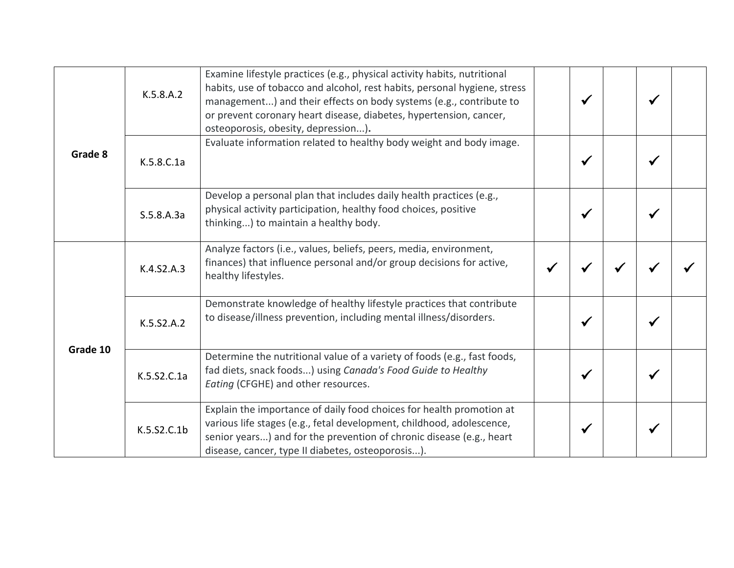| Grade 8  | K.5.8.A.2   | Examine lifestyle practices (e.g., physical activity habits, nutritional<br>habits, use of tobacco and alcohol, rest habits, personal hygiene, stress<br>management) and their effects on body systems (e.g., contribute to<br>or prevent coronary heart disease, diabetes, hypertension, cancer,<br>osteoporosis, obesity, depression). |              | $\checkmark$ |   | ✔ |  |
|----------|-------------|------------------------------------------------------------------------------------------------------------------------------------------------------------------------------------------------------------------------------------------------------------------------------------------------------------------------------------------|--------------|--------------|---|---|--|
|          | K.5.8.C.1a  | Evaluate information related to healthy body weight and body image.                                                                                                                                                                                                                                                                      |              | $\checkmark$ |   | ✔ |  |
|          | S.5.8.A.3a  | Develop a personal plan that includes daily health practices (e.g.,<br>physical activity participation, healthy food choices, positive<br>thinking) to maintain a healthy body.                                                                                                                                                          |              | $\checkmark$ |   | √ |  |
| Grade 10 | K.4.S2.A.3  | Analyze factors (i.e., values, beliefs, peers, media, environment,<br>finances) that influence personal and/or group decisions for active,<br>healthy lifestyles.                                                                                                                                                                        | $\checkmark$ |              | ✔ |   |  |
|          | K.5.S2.A.2  | Demonstrate knowledge of healthy lifestyle practices that contribute<br>to disease/illness prevention, including mental illness/disorders.                                                                                                                                                                                               |              | ✔            |   | ✔ |  |
|          | K.5.S2.C.1a | Determine the nutritional value of a variety of foods (e.g., fast foods,<br>fad diets, snack foods) using Canada's Food Guide to Healthy<br>Eating (CFGHE) and other resources.                                                                                                                                                          |              | $\checkmark$ |   | √ |  |
|          | K.5.S2.C.1b | Explain the importance of daily food choices for health promotion at<br>various life stages (e.g., fetal development, childhood, adolescence,<br>senior years) and for the prevention of chronic disease (e.g., heart<br>disease, cancer, type II diabetes, osteoporosis).                                                               |              | ✔            |   | ✔ |  |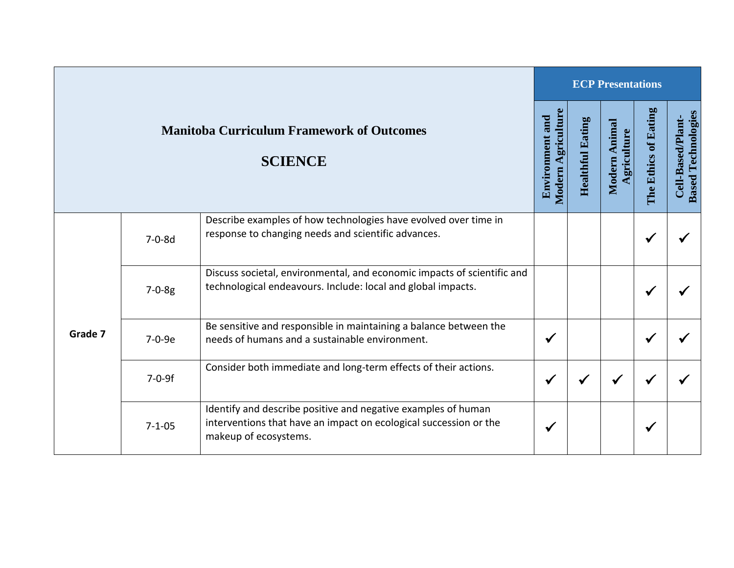|         |              |                                                                                                                                                             | <b>ECP Presentations</b>                     |                            |                             |                      |                                                |  |
|---------|--------------|-------------------------------------------------------------------------------------------------------------------------------------------------------------|----------------------------------------------|----------------------------|-----------------------------|----------------------|------------------------------------------------|--|
|         |              | <b>Manitoba Curriculum Framework of Outcomes</b><br><b>SCIENCE</b>                                                                                          | Modern Agriculture<br><b>Environment and</b> | Eating<br><b>Healthful</b> | Modern Animal<br>griculture | The Ethics of Eating | <b>Based Technologies</b><br>Cell-Based/Plant- |  |
|         | $7 - 0 - 8d$ | Describe examples of how technologies have evolved over time in<br>response to changing needs and scientific advances.                                      |                                              |                            |                             | $\checkmark$         |                                                |  |
|         | $7 - 0 - 8g$ | Discuss societal, environmental, and economic impacts of scientific and<br>technological endeavours. Include: local and global impacts.                     |                                              |                            |                             | ✔                    |                                                |  |
| Grade 7 | 7-0-9e       | Be sensitive and responsible in maintaining a balance between the<br>needs of humans and a sustainable environment.                                         | $\checkmark$                                 |                            |                             | $\checkmark$         |                                                |  |
|         | $7 - 0 - 9f$ | Consider both immediate and long-term effects of their actions.                                                                                             | $\checkmark$                                 |                            | ✔                           | $\checkmark$         |                                                |  |
|         | $7 - 1 - 05$ | Identify and describe positive and negative examples of human<br>interventions that have an impact on ecological succession or the<br>makeup of ecosystems. | √                                            |                            |                             | $\checkmark$         |                                                |  |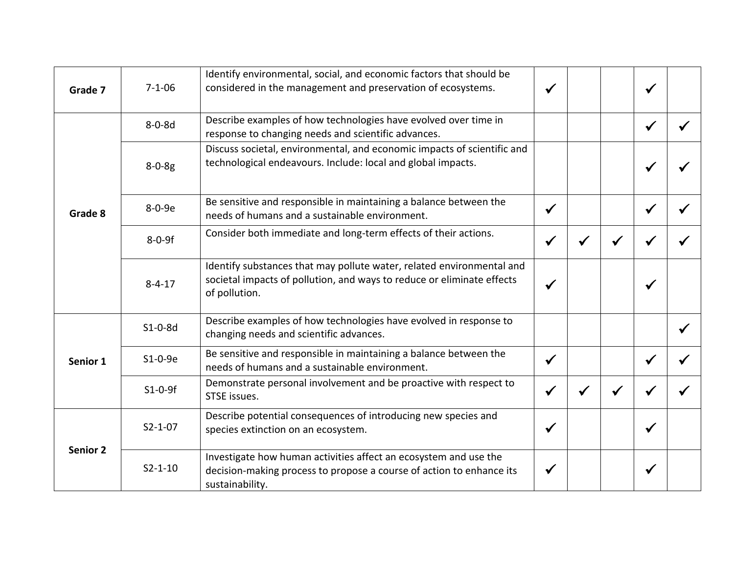| Grade 7  | $7 - 1 - 06$  | Identify environmental, social, and economic factors that should be<br>considered in the management and preservation of ecosystems.                              |  |              |  |
|----------|---------------|------------------------------------------------------------------------------------------------------------------------------------------------------------------|--|--------------|--|
|          | $8 - 0 - 8d$  | Describe examples of how technologies have evolved over time in<br>response to changing needs and scientific advances.                                           |  | $\checkmark$ |  |
| Grade 8  | $8 - 0 - 8g$  | Discuss societal, environmental, and economic impacts of scientific and<br>technological endeavours. Include: local and global impacts.                          |  | $\checkmark$ |  |
|          | 8-0-9e        | Be sensitive and responsible in maintaining a balance between the<br>needs of humans and a sustainable environment.                                              |  | ✔            |  |
|          | $8 - 0 - 9f$  | Consider both immediate and long-term effects of their actions.                                                                                                  |  | ✔            |  |
|          | $8 - 4 - 17$  | Identify substances that may pollute water, related environmental and<br>societal impacts of pollution, and ways to reduce or eliminate effects<br>of pollution. |  | $\checkmark$ |  |
|          | $S1-0-8d$     | Describe examples of how technologies have evolved in response to<br>changing needs and scientific advances.                                                     |  |              |  |
| Senior 1 | $S1-0-9e$     | Be sensitive and responsible in maintaining a balance between the<br>needs of humans and a sustainable environment.                                              |  |              |  |
|          | $S1-0-9f$     | Demonstrate personal involvement and be proactive with respect to<br>STSE issues.                                                                                |  |              |  |
|          | $S2 - 1 - 07$ | Describe potential consequences of introducing new species and<br>species extinction on an ecosystem.                                                            |  |              |  |
| Senior 2 | $S2 - 1 - 10$ | Investigate how human activities affect an ecosystem and use the<br>decision-making process to propose a course of action to enhance its<br>sustainability.      |  | $\checkmark$ |  |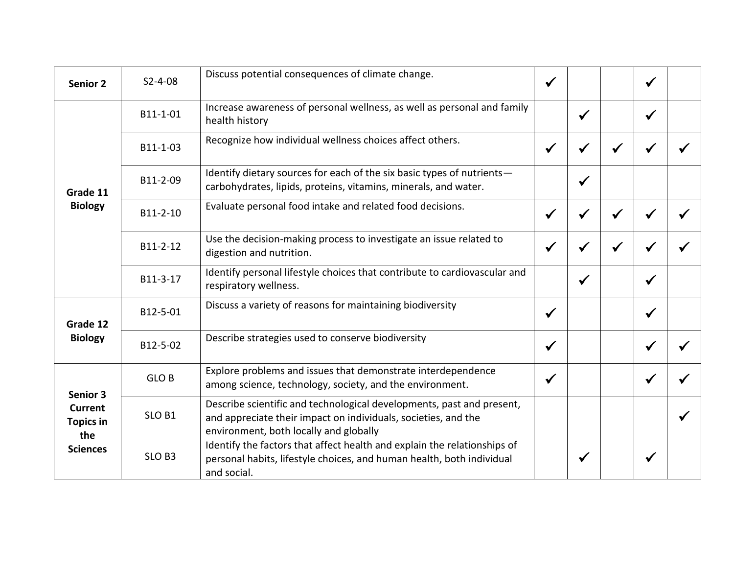| Senior 2                                                     | $S2 - 4 - 08$     | Discuss potential consequences of climate change.                                                                                                                                 |              |              |              |  |
|--------------------------------------------------------------|-------------------|-----------------------------------------------------------------------------------------------------------------------------------------------------------------------------------|--------------|--------------|--------------|--|
|                                                              | B11-1-01          | Increase awareness of personal wellness, as well as personal and family<br>health history                                                                                         |              | $\checkmark$ | $\checkmark$ |  |
| Grade 11<br><b>Biology</b>                                   | B11-1-03          | Recognize how individual wellness choices affect others.                                                                                                                          |              |              |              |  |
|                                                              | B11-2-09          | Identify dietary sources for each of the six basic types of nutrients-<br>carbohydrates, lipids, proteins, vitamins, minerals, and water.                                         |              | $\checkmark$ |              |  |
|                                                              | B11-2-10          | Evaluate personal food intake and related food decisions.                                                                                                                         |              |              |              |  |
|                                                              | B11-2-12          | Use the decision-making process to investigate an issue related to<br>digestion and nutrition.                                                                                    |              |              |              |  |
|                                                              | B11-3-17          | Identify personal lifestyle choices that contribute to cardiovascular and<br>respiratory wellness.                                                                                |              | $\checkmark$ | $\checkmark$ |  |
| Grade 12                                                     | B12-5-01          | Discuss a variety of reasons for maintaining biodiversity                                                                                                                         | $\checkmark$ |              | $\checkmark$ |  |
| <b>Biology</b>                                               | B12-5-02          | Describe strategies used to conserve biodiversity                                                                                                                                 | $\checkmark$ |              | $\checkmark$ |  |
| Senior 3                                                     | <b>GLOB</b>       | Explore problems and issues that demonstrate interdependence<br>among science, technology, society, and the environment.                                                          | $\checkmark$ |              | ✔            |  |
| <b>Current</b><br><b>Topics in</b><br>the<br><b>Sciences</b> | SLO <sub>B1</sub> | Describe scientific and technological developments, past and present,<br>and appreciate their impact on individuals, societies, and the<br>environment, both locally and globally |              |              |              |  |
|                                                              | SLO <sub>B3</sub> | Identify the factors that affect health and explain the relationships of<br>personal habits, lifestyle choices, and human health, both individual<br>and social.                  |              |              | √            |  |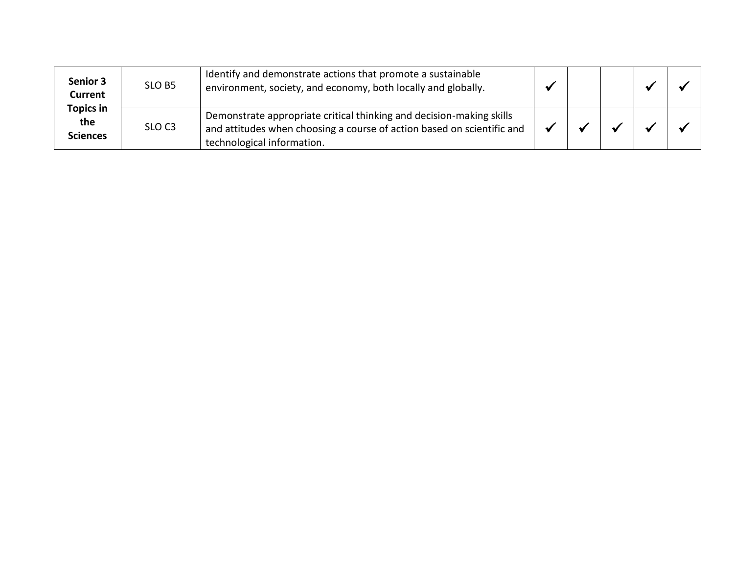| <b>Senior 3</b><br>Current<br><b>Topics in</b> | SLO B5            | Identify and demonstrate actions that promote a sustainable<br>environment, society, and economy, both locally and globally.                                                 |  |  |  |
|------------------------------------------------|-------------------|------------------------------------------------------------------------------------------------------------------------------------------------------------------------------|--|--|--|
| the<br><b>Sciences</b>                         | SLO <sub>C3</sub> | Demonstrate appropriate critical thinking and decision-making skills<br>and attitudes when choosing a course of action based on scientific and<br>technological information. |  |  |  |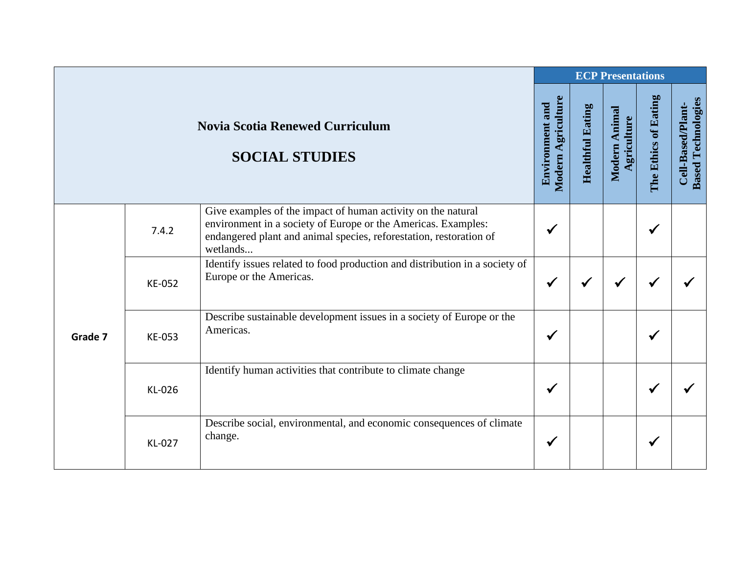|         |        |                                                                                                                                                                                                                 |                                              | <b>ECP Presentations</b> |                              |                      |                                                |  |
|---------|--------|-----------------------------------------------------------------------------------------------------------------------------------------------------------------------------------------------------------------|----------------------------------------------|--------------------------|------------------------------|----------------------|------------------------------------------------|--|
|         |        | <b>Novia Scotia Renewed Curriculum</b><br><b>SOCIAL STUDIES</b>                                                                                                                                                 | Modern Agriculture<br><b>Environment and</b> | <b>Healthful Eating</b>  | Modern Animal<br>Agriculture | The Ethics of Eating | <b>Based Technologies</b><br>Cell-Based/Plant- |  |
| Grade 7 | 7.4.2  | Give examples of the impact of human activity on the natural<br>environment in a society of Europe or the Americas. Examples:<br>endangered plant and animal species, reforestation, restoration of<br>wetlands | ✔                                            |                          |                              | ✔                    |                                                |  |
|         | KE-052 | Identify issues related to food production and distribution in a society of<br>Europe or the Americas.                                                                                                          | $\checkmark$                                 | $\checkmark$             |                              | ✔                    |                                                |  |
|         | KE-053 | Describe sustainable development issues in a society of Europe or the<br>Americas.                                                                                                                              | $\checkmark$                                 |                          |                              |                      |                                                |  |
|         | KL-026 | Identify human activities that contribute to climate change                                                                                                                                                     | $\checkmark$                                 |                          |                              |                      |                                                |  |
|         | KL-027 | Describe social, environmental, and economic consequences of climate<br>change.                                                                                                                                 | $\checkmark$                                 |                          |                              | ✔                    |                                                |  |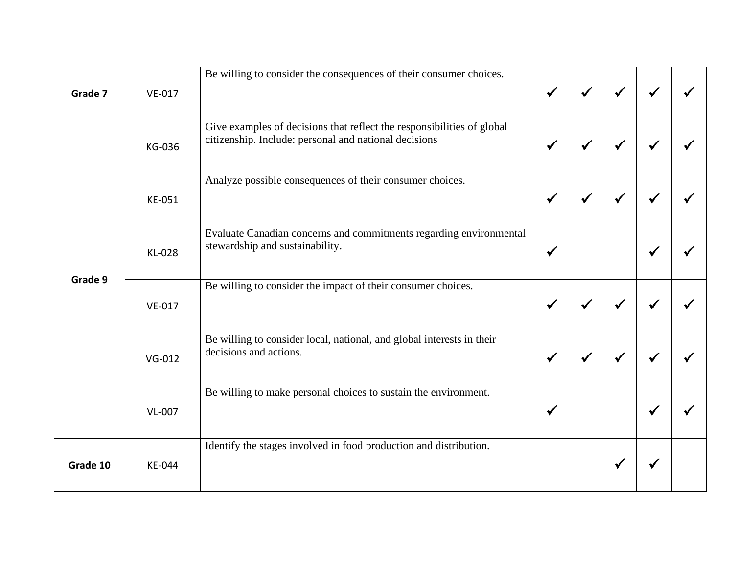| Grade 7  | VE-017   | Be willing to consider the consequences of their consumer choices.                                                              | $\checkmark$ | $\checkmark$ | $\checkmark$ |  |
|----------|----------|---------------------------------------------------------------------------------------------------------------------------------|--------------|--------------|--------------|--|
|          |          |                                                                                                                                 |              |              |              |  |
| Grade 9  | KG-036   | Give examples of decisions that reflect the responsibilities of global<br>citizenship. Include: personal and national decisions |              | ✔            |              |  |
|          | KE-051   | Analyze possible consequences of their consumer choices.                                                                        | $\checkmark$ | ✔            | √            |  |
|          | KL-028   | Evaluate Canadian concerns and commitments regarding environmental<br>stewardship and sustainability.                           | ✔            |              |              |  |
|          | VE-017   | Be willing to consider the impact of their consumer choices.                                                                    | $\checkmark$ |              |              |  |
|          | $VG-012$ | Be willing to consider local, national, and global interests in their<br>decisions and actions.                                 | $\checkmark$ | √            | $\checkmark$ |  |
|          | VL-007   | Be willing to make personal choices to sustain the environment.                                                                 | $\checkmark$ |              |              |  |
| Grade 10 | KE-044   | Identify the stages involved in food production and distribution.                                                               |              |              |              |  |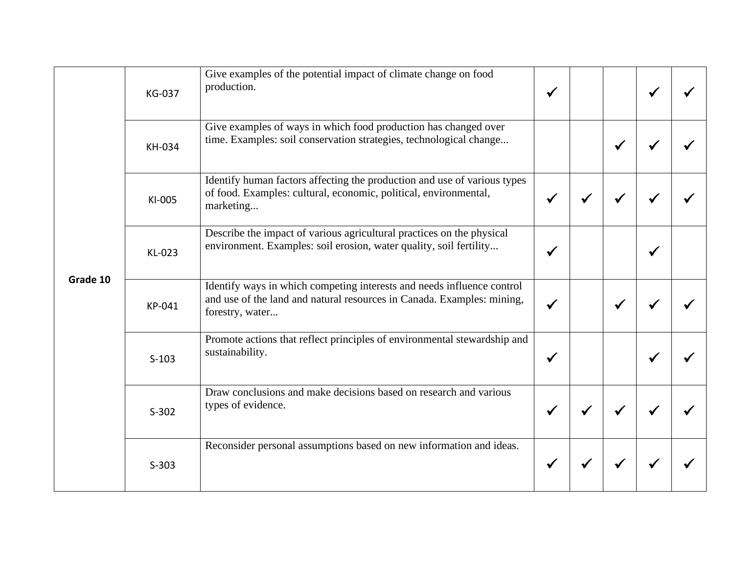| Grade 10 | KG-037  | Give examples of the potential impact of climate change on food<br>production.                                                                                      | $\checkmark$ |   |  |
|----------|---------|---------------------------------------------------------------------------------------------------------------------------------------------------------------------|--------------|---|--|
|          | KH-034  | Give examples of ways in which food production has changed over<br>time. Examples: soil conservation strategies, technological change                               |              |   |  |
|          | KI-005  | Identify human factors affecting the production and use of various types<br>of food. Examples: cultural, economic, political, environmental,<br>marketing           | $\checkmark$ |   |  |
|          | KL-023  | Describe the impact of various agricultural practices on the physical<br>environment. Examples: soil erosion, water quality, soil fertility                         | √            |   |  |
|          | KP-041  | Identify ways in which competing interests and needs influence control<br>and use of the land and natural resources in Canada. Examples: mining,<br>forestry, water | √            | ✔ |  |
|          | $S-103$ | Promote actions that reflect principles of environmental stewardship and<br>sustainability.                                                                         | $\checkmark$ |   |  |
|          | $S-302$ | Draw conclusions and make decisions based on research and various<br>types of evidence.                                                                             | $\checkmark$ |   |  |
|          | $S-303$ | Reconsider personal assumptions based on new information and ideas.                                                                                                 | $\checkmark$ |   |  |